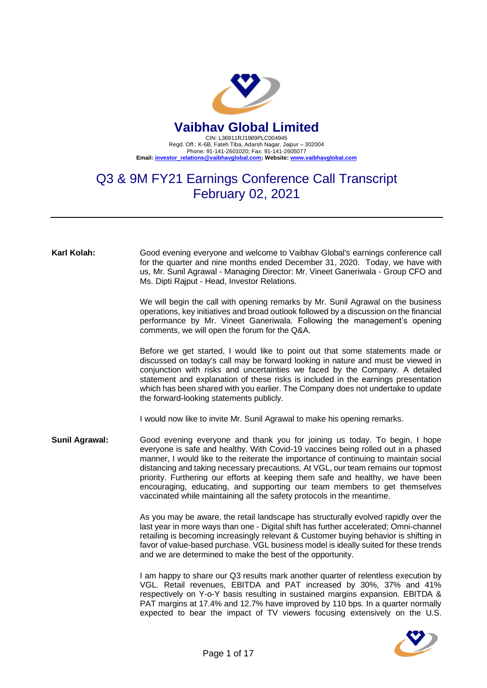

## Q3 & 9M FY21 Earnings Conference Call Transcript February 02, 2021

**Karl Kolah:** Good evening everyone and welcome to Vaibhav Global's earnings conference call for the quarter and nine months ended December 31, 2020. Today, we have with us, Mr. Sunil Agrawal - Managing Director: Mr. Vineet Ganeriwala - Group CFO and Ms. Dipti Rajput - Head, Investor Relations.

> We will begin the call with opening remarks by Mr. Sunil Agrawal on the business operations, key initiatives and broad outlook followed by a discussion on the financial performance by Mr. Vineet Ganeriwala. Following the management's opening comments, we will open the forum for the Q&A.

> Before we get started, I would like to point out that some statements made or discussed on today's call may be forward looking in nature and must be viewed in conjunction with risks and uncertainties we faced by the Company. A detailed statement and explanation of these risks is included in the earnings presentation which has been shared with you earlier. The Company does not undertake to update the forward-looking statements publicly.

I would now like to invite Mr. Sunil Agrawal to make his opening remarks.

**Sunil Agrawal:** Good evening everyone and thank you for joining us today. To begin, I hope everyone is safe and healthy. With Covid-19 vaccines being rolled out in a phased manner, I would like to the reiterate the importance of continuing to maintain social distancing and taking necessary precautions. At VGL, our team remains our topmost priority. Furthering our efforts at keeping them safe and healthy, we have been encouraging, educating, and supporting our team members to get themselves vaccinated while maintaining all the safety protocols in the meantime.

> As you may be aware, the retail landscape has structurally evolved rapidly over the last year in more ways than one - Digital shift has further accelerated; Omni-channel retailing is becoming increasingly relevant & Customer buying behavior is shifting in favor of value-based purchase. VGL business model is ideally suited for these trends and we are determined to make the best of the opportunity.

> I am happy to share our Q3 results mark another quarter of relentless execution by VGL. Retail revenues, EBITDA and PAT increased by 30%, 37% and 41% respectively on Y-o-Y basis resulting in sustained margins expansion. EBITDA & PAT margins at 17.4% and 12.7% have improved by 110 bps. In a quarter normally expected to bear the impact of TV viewers focusing extensively on the U.S.

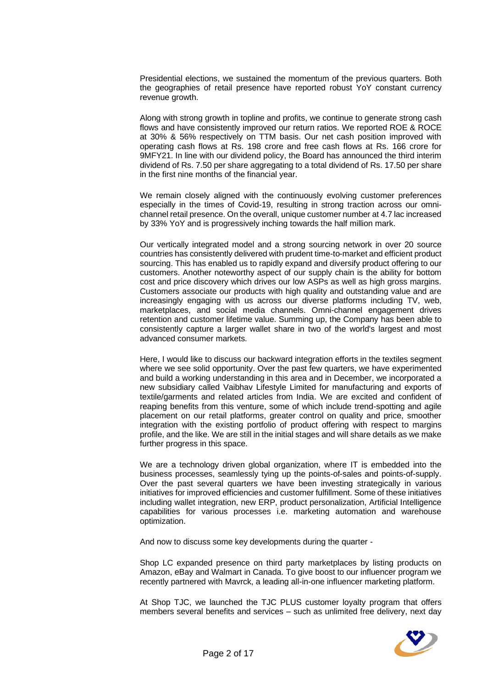Presidential elections, we sustained the momentum of the previous quarters. Both the geographies of retail presence have reported robust YoY constant currency revenue growth.

Along with strong growth in topline and profits, we continue to generate strong cash flows and have consistently improved our return ratios. We reported ROE & ROCE at 30% & 56% respectively on TTM basis. Our net cash position improved with operating cash flows at Rs. 198 crore and free cash flows at Rs. 166 crore for 9MFY21. In line with our dividend policy, the Board has announced the third interim dividend of Rs. 7.50 per share aggregating to a total dividend of Rs. 17.50 per share in the first nine months of the financial year.

We remain closely aligned with the continuously evolving customer preferences especially in the times of Covid-19, resulting in strong traction across our omnichannel retail presence. On the overall, unique customer number at 4.7 lac increased by 33% YoY and is progressively inching towards the half million mark.

Our vertically integrated model and a strong sourcing network in over 20 source countries has consistently delivered with prudent time-to-market and efficient product sourcing. This has enabled us to rapidly expand and diversify product offering to our customers. Another noteworthy aspect of our supply chain is the ability for bottom cost and price discovery which drives our low ASPs as well as high gross margins. Customers associate our products with high quality and outstanding value and are increasingly engaging with us across our diverse platforms including TV, web, marketplaces, and social media channels. Omni-channel engagement drives retention and customer lifetime value. Summing up, the Company has been able to consistently capture a larger wallet share in two of the world's largest and most advanced consumer markets.

Here, I would like to discuss our backward integration efforts in the textiles segment where we see solid opportunity. Over the past few quarters, we have experimented and build a working understanding in this area and in December, we incorporated a new subsidiary called Vaibhav Lifestyle Limited for manufacturing and exports of textile/garments and related articles from India. We are excited and confident of reaping benefits from this venture, some of which include trend-spotting and agile placement on our retail platforms, greater control on quality and price, smoother integration with the existing portfolio of product offering with respect to margins profile, and the like. We are still in the initial stages and will share details as we make further progress in this space.

We are a technology driven global organization, where IT is embedded into the business processes, seamlessly tying up the points-of-sales and points-of-supply. Over the past several quarters we have been investing strategically in various initiatives for improved efficiencies and customer fulfillment. Some of these initiatives including wallet integration, new ERP, product personalization, Artificial Intelligence capabilities for various processes i.e. marketing automation and warehouse optimization.

And now to discuss some key developments during the quarter -

Shop LC expanded presence on third party marketplaces by listing products on Amazon, eBay and Walmart in Canada. To give boost to our influencer program we recently partnered with Mavrck, a leading all-in-one influencer marketing platform.

At Shop TJC, we launched the TJC PLUS customer loyalty program that offers members several benefits and services – such as unlimited free delivery, next day

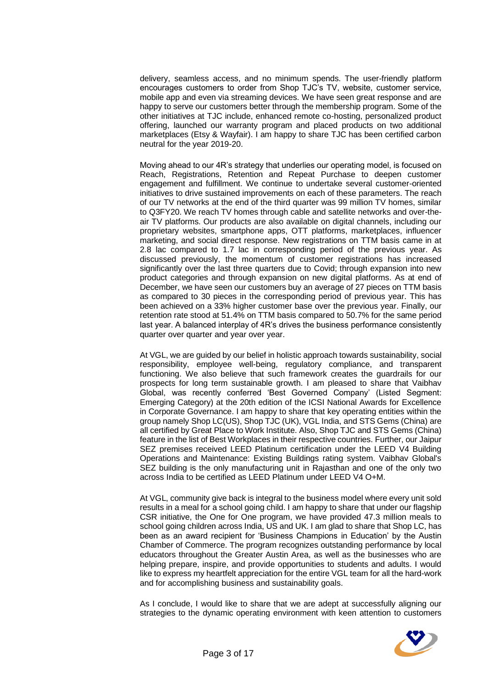delivery, seamless access, and no minimum spends. The user-friendly platform encourages customers to order from Shop TJC's TV, website, customer service, mobile app and even via streaming devices. We have seen great response and are happy to serve our customers better through the membership program. Some of the other initiatives at TJC include, enhanced remote co-hosting, personalized product offering, launched our warranty program and placed products on two additional marketplaces (Etsy & Wayfair). I am happy to share TJC has been certified carbon neutral for the year 2019-20.

Moving ahead to our 4R's strategy that underlies our operating model, is focused on Reach, Registrations, Retention and Repeat Purchase to deepen customer engagement and fulfillment. We continue to undertake several customer-oriented initiatives to drive sustained improvements on each of these parameters. The reach of our TV networks at the end of the third quarter was 99 million TV homes, similar to Q3FY20. We reach TV homes through cable and satellite networks and over-theair TV platforms. Our products are also available on digital channels, including our proprietary websites, smartphone apps, OTT platforms, marketplaces, influencer marketing, and social direct response. New registrations on TTM basis came in at 2.8 lac compared to 1.7 lac in corresponding period of the previous year. As discussed previously, the momentum of customer registrations has increased significantly over the last three quarters due to Covid; through expansion into new product categories and through expansion on new digital platforms. As at end of December, we have seen our customers buy an average of 27 pieces on TTM basis as compared to 30 pieces in the corresponding period of previous year. This has been achieved on a 33% higher customer base over the previous year. Finally, our retention rate stood at 51.4% on TTM basis compared to 50.7% for the same period last year. A balanced interplay of 4R's drives the business performance consistently quarter over quarter and year over year.

At VGL, we are guided by our belief in holistic approach towards sustainability, social responsibility, employee well-being, regulatory compliance, and transparent functioning. We also believe that such framework creates the guardrails for our prospects for long term sustainable growth. I am pleased to share that Vaibhav Global, was recently conferred 'Best Governed Company' (Listed Segment: Emerging Category) at the 20th edition of the ICSI National Awards for Excellence in Corporate Governance. I am happy to share that key operating entities within the group namely Shop LC(US), Shop TJC (UK), VGL India, and STS Gems (China) are all certified by Great Place to Work Institute. Also, Shop TJC and STS Gems (China) feature in the list of Best Workplaces in their respective countries. Further, our Jaipur SEZ premises received LEED Platinum certification under the LEED V4 Building Operations and Maintenance: Existing Buildings rating system. Vaibhav Global's SEZ building is the only manufacturing unit in Rajasthan and one of the only two across India to be certified as LEED Platinum under LEED V4 O+M.

At VGL, community give back is integral to the business model where every unit sold results in a meal for a school going child. I am happy to share that under our flagship CSR initiative, the One for One program, we have provided 47.3 million meals to school going children across India, US and UK. I am glad to share that Shop LC, has been as an award recipient for 'Business Champions in Education' by the Austin Chamber of Commerce. The program recognizes outstanding performance by local educators throughout the Greater Austin Area, as well as the businesses who are helping prepare, inspire, and provide opportunities to students and adults. I would like to express my heartfelt appreciation for the entire VGL team for all the hard-work and for accomplishing business and sustainability goals.

As I conclude, I would like to share that we are adept at successfully aligning our strategies to the dynamic operating environment with keen attention to customers

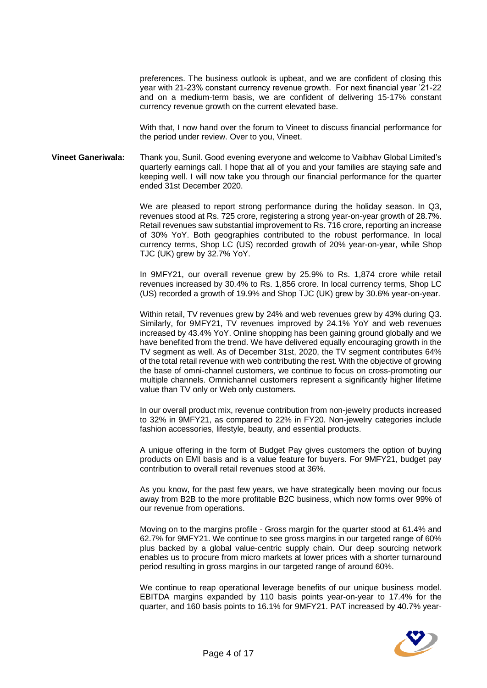preferences. The business outlook is upbeat, and we are confident of closing this year with 21-23% constant currency revenue growth. For next financial year '21-22 and on a medium-term basis, we are confident of delivering 15-17% constant currency revenue growth on the current elevated base.

With that, I now hand over the forum to Vineet to discuss financial performance for the period under review. Over to you, Vineet.

**Vineet Ganeriwala:** Thank you, Sunil. Good evening everyone and welcome to Vaibhav Global Limited's quarterly earnings call. I hope that all of you and your families are staying safe and keeping well. I will now take you through our financial performance for the quarter ended 31st December 2020.

> We are pleased to report strong performance during the holiday season. In Q3, revenues stood at Rs. 725 crore, registering a strong year-on-year growth of 28.7%. Retail revenues saw substantial improvement to Rs. 716 crore, reporting an increase of 30% YoY. Both geographies contributed to the robust performance. In local currency terms, Shop LC (US) recorded growth of 20% year-on-year, while Shop TJC (UK) grew by 32.7% YoY.

> In 9MFY21, our overall revenue grew by 25.9% to Rs. 1,874 crore while retail revenues increased by 30.4% to Rs. 1,856 crore. In local currency terms, Shop LC (US) recorded a growth of 19.9% and Shop TJC (UK) grew by 30.6% year-on-year.

> Within retail, TV revenues grew by 24% and web revenues grew by 43% during Q3. Similarly, for 9MFY21, TV revenues improved by 24.1% YoY and web revenues increased by 43.4% YoY. Online shopping has been gaining ground globally and we have benefited from the trend. We have delivered equally encouraging growth in the TV segment as well. As of December 31st, 2020, the TV segment contributes 64% of the total retail revenue with web contributing the rest. With the objective of growing the base of omni-channel customers, we continue to focus on cross-promoting our multiple channels. Omnichannel customers represent a significantly higher lifetime value than TV only or Web only customers.

> In our overall product mix, revenue contribution from non-jewelry products increased to 32% in 9MFY21, as compared to 22% in FY20. Non-jewelry categories include fashion accessories, lifestyle, beauty, and essential products.

> A unique offering in the form of Budget Pay gives customers the option of buying products on EMI basis and is a value feature for buyers. For 9MFY21, budget pay contribution to overall retail revenues stood at 36%.

> As you know, for the past few years, we have strategically been moving our focus away from B2B to the more profitable B2C business, which now forms over 99% of our revenue from operations.

> Moving on to the margins profile - Gross margin for the quarter stood at 61.4% and 62.7% for 9MFY21. We continue to see gross margins in our targeted range of 60% plus backed by a global value-centric supply chain. Our deep sourcing network enables us to procure from micro markets at lower prices with a shorter turnaround period resulting in gross margins in our targeted range of around 60%.

> We continue to reap operational leverage benefits of our unique business model. EBITDA margins expanded by 110 basis points year-on-year to 17.4% for the quarter, and 160 basis points to 16.1% for 9MFY21. PAT increased by 40.7% year-

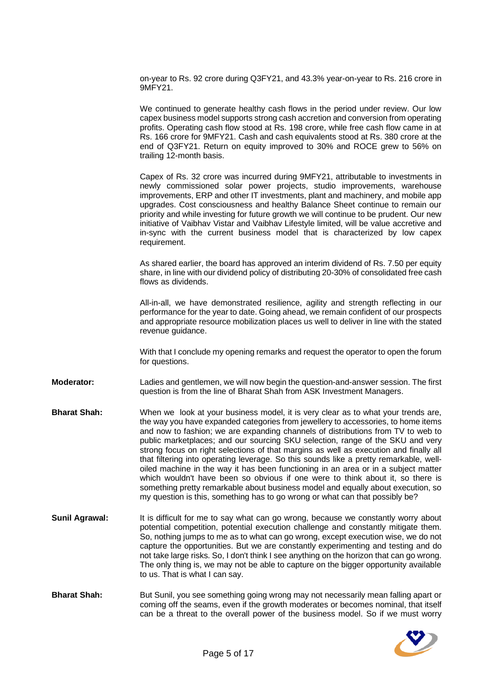on-year to Rs. 92 crore during Q3FY21, and 43.3% year-on-year to Rs. 216 crore in 9MFY21.

We continued to generate healthy cash flows in the period under review. Our low capex business model supports strong cash accretion and conversion from operating profits. Operating cash flow stood at Rs. 198 crore, while free cash flow came in at Rs. 166 crore for 9MFY21. Cash and cash equivalents stood at Rs. 380 crore at the end of Q3FY21. Return on equity improved to 30% and ROCE grew to 56% on trailing 12-month basis.

Capex of Rs. 32 crore was incurred during 9MFY21, attributable to investments in newly commissioned solar power projects, studio improvements, warehouse improvements, ERP and other IT investments, plant and machinery, and mobile app upgrades. Cost consciousness and healthy Balance Sheet continue to remain our priority and while investing for future growth we will continue to be prudent. Our new initiative of Vaibhav Vistar and Vaibhav Lifestyle limited, will be value accretive and in-sync with the current business model that is characterized by low capex requirement.

As shared earlier, the board has approved an interim dividend of Rs. 7.50 per equity share, in line with our dividend policy of distributing 20-30% of consolidated free cash flows as dividends.

All-in-all, we have demonstrated resilience, agility and strength reflecting in our performance for the year to date. Going ahead, we remain confident of our prospects and appropriate resource mobilization places us well to deliver in line with the stated revenue guidance.

With that I conclude my opening remarks and request the operator to open the forum for questions.

**Moderator:** Ladies and gentlemen, we will now begin the question-and-answer session. The first question is from the line of Bharat Shah from ASK Investment Managers.

- **Bharat Shah:** When we look at your business model, it is very clear as to what your trends are, the way you have expanded categories from jewellery to accessories, to home items and now to fashion; we are expanding channels of distributions from TV to web to public marketplaces; and our sourcing SKU selection, range of the SKU and very strong focus on right selections of that margins as well as execution and finally all that filtering into operating leverage. So this sounds like a pretty remarkable, welloiled machine in the way it has been functioning in an area or in a subject matter which wouldn't have been so obvious if one were to think about it, so there is something pretty remarkable about business model and equally about execution, so my question is this, something has to go wrong or what can that possibly be?
- **Sunil Agrawal:** It is difficult for me to say what can go wrong, because we constantly worry about potential competition, potential execution challenge and constantly mitigate them. So, nothing jumps to me as to what can go wrong, except execution wise, we do not capture the opportunities. But we are constantly experimenting and testing and do not take large risks. So, I don't think I see anything on the horizon that can go wrong. The only thing is, we may not be able to capture on the bigger opportunity available to us. That is what I can say.
- **Bharat Shah:** But Sunil, you see something going wrong may not necessarily mean falling apart or coming off the seams, even if the growth moderates or becomes nominal, that itself can be a threat to the overall power of the business model. So if we must worry

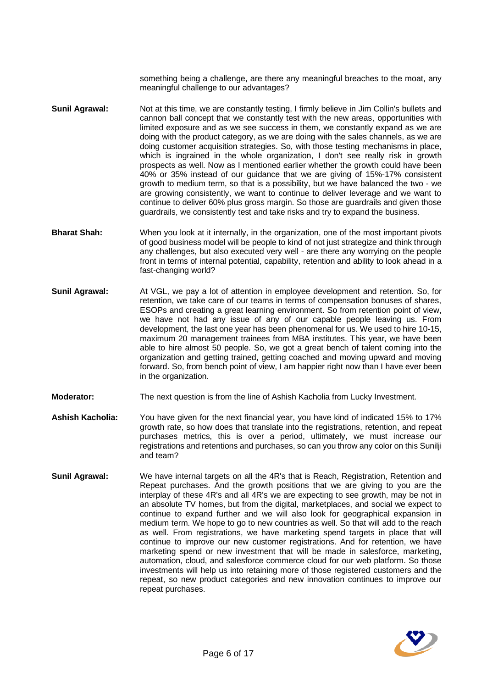something being a challenge, are there any meaningful breaches to the moat, any meaningful challenge to our advantages?

- **Sunil Agrawal:** Not at this time, we are constantly testing, I firmly believe in Jim Collin's bullets and cannon ball concept that we constantly test with the new areas, opportunities with limited exposure and as we see success in them, we constantly expand as we are doing with the product category, as we are doing with the sales channels, as we are doing customer acquisition strategies. So, with those testing mechanisms in place, which is ingrained in the whole organization, I don't see really risk in growth prospects as well. Now as I mentioned earlier whether the growth could have been 40% or 35% instead of our guidance that we are giving of 15%-17% consistent growth to medium term, so that is a possibility, but we have balanced the two - we are growing consistently, we want to continue to deliver leverage and we want to continue to deliver 60% plus gross margin. So those are guardrails and given those guardrails, we consistently test and take risks and try to expand the business.
- **Bharat Shah:** When you look at it internally, in the organization, one of the most important pivots of good business model will be people to kind of not just strategize and think through any challenges, but also executed very well - are there any worrying on the people front in terms of internal potential, capability, retention and ability to look ahead in a fast-changing world?
- **Sunil Agrawal:** At VGL, we pay a lot of attention in employee development and retention. So, for retention, we take care of our teams in terms of compensation bonuses of shares, ESOPs and creating a great learning environment. So from retention point of view, we have not had any issue of any of our capable people leaving us. From development, the last one year has been phenomenal for us. We used to hire 10-15, maximum 20 management trainees from MBA institutes. This year, we have been able to hire almost 50 people. So, we got a great bench of talent coming into the organization and getting trained, getting coached and moving upward and moving forward. So, from bench point of view, I am happier right now than I have ever been in the organization.
- **Moderator:** The next question is from the line of Ashish Kacholia from Lucky Investment.
- **Ashish Kacholia:** You have given for the next financial year, you have kind of indicated 15% to 17% growth rate, so how does that translate into the registrations, retention, and repeat purchases metrics, this is over a period, ultimately, we must increase our registrations and retentions and purchases, so can you throw any color on this Sunilji and team?
- **Sunil Agrawal:** We have internal targets on all the 4R's that is Reach, Registration, Retention and Repeat purchases. And the growth positions that we are giving to you are the interplay of these 4R's and all 4R's we are expecting to see growth, may be not in an absolute TV homes, but from the digital, marketplaces, and social we expect to continue to expand further and we will also look for geographical expansion in medium term. We hope to go to new countries as well. So that will add to the reach as well. From registrations, we have marketing spend targets in place that will continue to improve our new customer registrations. And for retention, we have marketing spend or new investment that will be made in salesforce, marketing, automation, cloud, and salesforce commerce cloud for our web platform. So those investments will help us into retaining more of those registered customers and the repeat, so new product categories and new innovation continues to improve our repeat purchases.

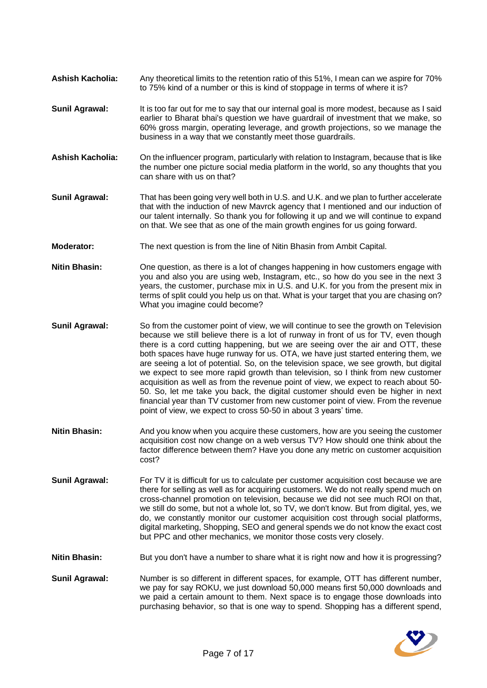- **Ashish Kacholia:** Any theoretical limits to the retention ratio of this 51%, I mean can we aspire for 70% to 75% kind of a number or this is kind of stoppage in terms of where it is?
- **Sunil Agrawal:** It is too far out for me to say that our internal goal is more modest, because as I said earlier to Bharat bhai's question we have guardrail of investment that we make, so 60% gross margin, operating leverage, and growth projections, so we manage the business in a way that we constantly meet those guardrails.
- **Ashish Kacholia:** On the influencer program, particularly with relation to Instagram, because that is like the number one picture social media platform in the world, so any thoughts that you can share with us on that?
- **Sunil Agrawal:** That has been going very well both in U.S. and U.K. and we plan to further accelerate that with the induction of new Mavrck agency that I mentioned and our induction of our talent internally. So thank you for following it up and we will continue to expand on that. We see that as one of the main growth engines for us going forward.
- **Moderator:** The next question is from the line of Nitin Bhasin from Ambit Capital.
- **Nitin Bhasin:** One question, as there is a lot of changes happening in how customers engage with you and also you are using web, Instagram, etc., so how do you see in the next 3 years, the customer, purchase mix in U.S. and U.K. for you from the present mix in terms of split could you help us on that. What is your target that you are chasing on? What you imagine could become?
- **Sunil Agrawal:** So from the customer point of view, we will continue to see the growth on Television because we still believe there is a lot of runway in front of us for TV, even though there is a cord cutting happening, but we are seeing over the air and OTT, these both spaces have huge runway for us. OTA, we have just started entering them, we are seeing a lot of potential. So, on the television space, we see growth, but digital we expect to see more rapid growth than television, so I think from new customer acquisition as well as from the revenue point of view, we expect to reach about 50- 50. So, let me take you back, the digital customer should even be higher in next financial year than TV customer from new customer point of view. From the revenue point of view, we expect to cross 50-50 in about 3 years' time.
- **Nitin Bhasin:** And you know when you acquire these customers, how are you seeing the customer acquisition cost now change on a web versus TV? How should one think about the factor difference between them? Have you done any metric on customer acquisition cost?
- **Sunil Agrawal:** For TV it is difficult for us to calculate per customer acquisition cost because we are there for selling as well as for acquiring customers. We do not really spend much on cross-channel promotion on television, because we did not see much ROI on that, we still do some, but not a whole lot, so TV, we don't know. But from digital, yes, we do, we constantly monitor our customer acquisition cost through social platforms, digital marketing, Shopping, SEO and general spends we do not know the exact cost but PPC and other mechanics, we monitor those costs very closely.

**Nitin Bhasin:** But you don't have a number to share what it is right now and how it is progressing?

**Sunil Agrawal:** Number is so different in different spaces, for example, OTT has different number, we pay for say ROKU, we just download 50,000 means first 50,000 downloads and we paid a certain amount to them. Next space is to engage those downloads into purchasing behavior, so that is one way to spend. Shopping has a different spend,

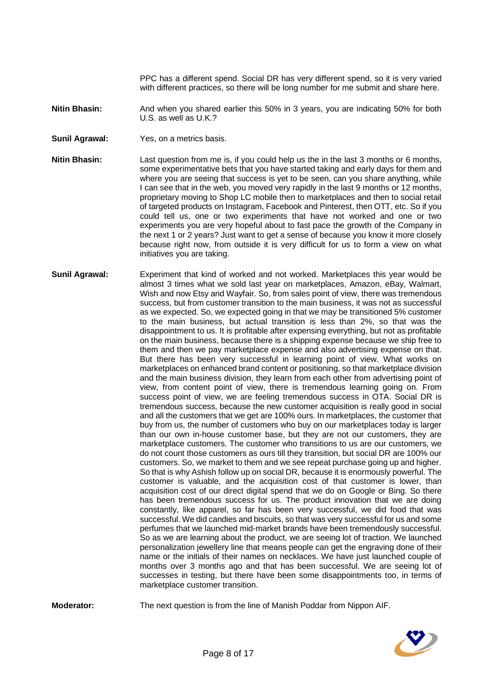PPC has a different spend. Social DR has very different spend, so it is very varied with different practices, so there will be long number for me submit and share here.

**Nitin Bhasin:** And when you shared earlier this 50% in 3 years, you are indicating 50% for both U.S. as well as U.K.?

**Sunil Agrawal:** Yes, on a metrics basis.

**Nitin Bhasin:** Last question from me is, if you could help us the in the last 3 months or 6 months, some experimentative bets that you have started taking and early days for them and where you are seeing that success is yet to be seen, can you share anything, while I can see that in the web, you moved very rapidly in the last 9 months or 12 months, proprietary moving to Shop LC mobile then to marketplaces and then to social retail of targeted products on Instagram, Facebook and Pinterest, then OTT, etc. So if you could tell us, one or two experiments that have not worked and one or two experiments you are very hopeful about to fast pace the growth of the Company in the next 1 or 2 years? Just want to get a sense of because you know it more closely because right now, from outside it is very difficult for us to form a view on what initiatives you are taking.

**Sunil Agrawal:** Experiment that kind of worked and not worked. Marketplaces this year would be almost 3 times what we sold last year on marketplaces, Amazon, eBay, Walmart, Wish and now Etsy and Wayfair. So, from sales point of view, there was tremendous success, but from customer transition to the main business, it was not as successful as we expected. So, we expected going in that we may be transitioned 5% customer to the main business, but actual transition is less than 2%, so that was the disappointment to us. It is profitable after expensing everything, but not as profitable on the main business, because there is a shipping expense because we ship free to them and then we pay marketplace expense and also advertising expense on that. But there has been very successful in learning point of view. What works on marketplaces on enhanced brand content or positioning, so that marketplace division and the main business division, they learn from each other from advertising point of view, from content point of view, there is tremendous learning going on. From success point of view, we are feeling tremendous success in OTA. Social DR is tremendous success, because the new customer acquisition is really good in social and all the customers that we get are 100% ours. In marketplaces, the customer that buy from us, the number of customers who buy on our marketplaces today is larger than our own in-house customer base, but they are not our customers, they are marketplace customers. The customer who transitions to us are our customers, we do not count those customers as ours till they transition, but social DR are 100% our customers. So, we market to them and we see repeat purchase going up and higher. So that is why Ashish follow up on social DR, because it is enormously powerful. The customer is valuable, and the acquisition cost of that customer is lower, than acquisition cost of our direct digital spend that we do on Google or Bing. So there has been tremendous success for us. The product innovation that we are doing constantly, like apparel, so far has been very successful, we did food that was successful. We did candies and biscuits, so that was very successful for us and some perfumes that we launched mid-market brands have been tremendously successful. So as we are learning about the product, we are seeing lot of traction. We launched personalization jewellery line that means people can get the engraving done of their name or the initials of their names on necklaces. We have just launched couple of months over 3 months ago and that has been successful. We are seeing lot of successes in testing, but there have been some disappointments too, in terms of marketplace customer transition.

**Moderator:** The next question is from the line of Manish Poddar from Nippon AIF.

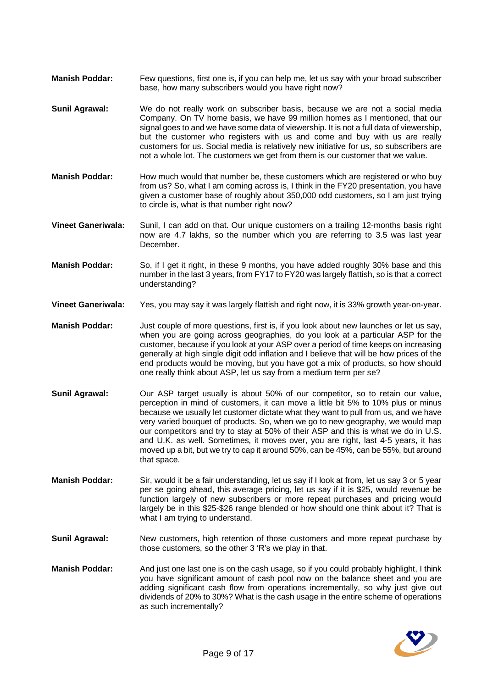- **Manish Poddar:** Few questions, first one is, if you can help me, let us say with your broad subscriber base, how many subscribers would you have right now?
- **Sunil Agrawal:** We do not really work on subscriber basis, because we are not a social media Company. On TV home basis, we have 99 million homes as I mentioned, that our signal goes to and we have some data of viewership. It is not a full data of viewership, but the customer who registers with us and come and buy with us are really customers for us. Social media is relatively new initiative for us, so subscribers are not a whole lot. The customers we get from them is our customer that we value.
- **Manish Poddar:** How much would that number be, these customers which are registered or who buy from us? So, what I am coming across is, I think in the FY20 presentation, you have given a customer base of roughly about 350,000 odd customers, so I am just trying to circle is, what is that number right now?
- **Vineet Ganeriwala:** Sunil, I can add on that. Our unique customers on a trailing 12-months basis right now are 4.7 lakhs, so the number which you are referring to 3.5 was last year December.
- **Manish Poddar:** So, if I get it right, in these 9 months, you have added roughly 30% base and this number in the last 3 years, from FY17 to FY20 was largely flattish, so is that a correct understanding?
- **Vineet Ganeriwala:** Yes, you may say it was largely flattish and right now, it is 33% growth year-on-year.
- **Manish Poddar:** Just couple of more questions, first is, if you look about new launches or let us say, when you are going across geographies, do you look at a particular ASP for the customer, because if you look at your ASP over a period of time keeps on increasing generally at high single digit odd inflation and I believe that will be how prices of the end products would be moving, but you have got a mix of products, so how should one really think about ASP, let us say from a medium term per se?
- Sunil Agrawal: Our ASP target usually is about 50% of our competitor, so to retain our value, perception in mind of customers, it can move a little bit 5% to 10% plus or minus because we usually let customer dictate what they want to pull from us, and we have very varied bouquet of products. So, when we go to new geography, we would map our competitors and try to stay at 50% of their ASP and this is what we do in U.S. and U.K. as well. Sometimes, it moves over, you are right, last 4-5 years, it has moved up a bit, but we try to cap it around 50%, can be 45%, can be 55%, but around that space.
- **Manish Poddar:** Sir, would it be a fair understanding, let us say if I look at from, let us say 3 or 5 year per se going ahead, this average pricing, let us say if it is \$25, would revenue be function largely of new subscribers or more repeat purchases and pricing would largely be in this \$25-\$26 range blended or how should one think about it? That is what I am trying to understand.
- **Sunil Agrawal:** New customers, high retention of those customers and more repeat purchase by those customers, so the other 3 'R's we play in that.
- **Manish Poddar:** And just one last one is on the cash usage, so if you could probably highlight, I think you have significant amount of cash pool now on the balance sheet and you are adding significant cash flow from operations incrementally, so why just give out dividends of 20% to 30%? What is the cash usage in the entire scheme of operations as such incrementally?

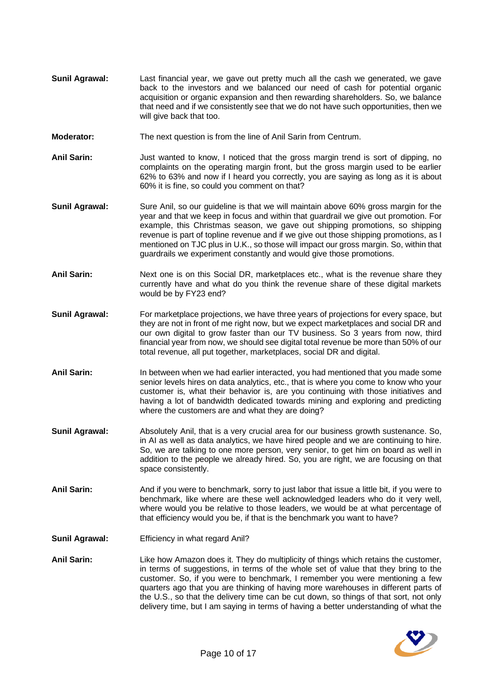- **Sunil Agrawal:** Last financial year, we gave out pretty much all the cash we generated, we gave back to the investors and we balanced our need of cash for potential organic acquisition or organic expansion and then rewarding shareholders. So, we balance that need and if we consistently see that we do not have such opportunities, then we will give back that too.
- **Moderator:** The next question is from the line of Anil Sarin from Centrum.
- **Anil Sarin:** Just wanted to know, I noticed that the gross margin trend is sort of dipping, no complaints on the operating margin front, but the gross margin used to be earlier 62% to 63% and now if I heard you correctly, you are saying as long as it is about 60% it is fine, so could you comment on that?
- **Sunil Agrawal:** Sure Anil, so our quideline is that we will maintain above 60% gross margin for the year and that we keep in focus and within that guardrail we give out promotion. For example, this Christmas season, we gave out shipping promotions, so shipping revenue is part of topline revenue and if we give out those shipping promotions, as I mentioned on TJC plus in U.K., so those will impact our gross margin. So, within that guardrails we experiment constantly and would give those promotions.
- **Anil Sarin:** Next one is on this Social DR, marketplaces etc., what is the revenue share they currently have and what do you think the revenue share of these digital markets would be by FY23 end?
- **Sunil Agrawal:** For marketplace projections, we have three years of projections for every space, but they are not in front of me right now, but we expect marketplaces and social DR and our own digital to grow faster than our TV business. So 3 years from now, third financial year from now, we should see digital total revenue be more than 50% of our total revenue, all put together, marketplaces, social DR and digital.
- Anil Sarin: In between when we had earlier interacted, you had mentioned that you made some senior levels hires on data analytics, etc., that is where you come to know who your customer is, what their behavior is, are you continuing with those initiatives and having a lot of bandwidth dedicated towards mining and exploring and predicting where the customers are and what they are doing?
- **Sunil Agrawal:** Absolutely Anil, that is a very crucial area for our business growth sustenance. So, in AI as well as data analytics, we have hired people and we are continuing to hire. So, we are talking to one more person, very senior, to get him on board as well in addition to the people we already hired. So, you are right, we are focusing on that space consistently.
- **Anil Sarin:** And if you were to benchmark, sorry to just labor that issue a little bit, if you were to benchmark, like where are these well acknowledged leaders who do it very well, where would you be relative to those leaders, we would be at what percentage of that efficiency would you be, if that is the benchmark you want to have?
- **Sunil Agrawal:** Efficiency in what regard Anil?
- **Anil Sarin:** Like how Amazon does it. They do multiplicity of things which retains the customer, in terms of suggestions, in terms of the whole set of value that they bring to the customer. So, if you were to benchmark, I remember you were mentioning a few quarters ago that you are thinking of having more warehouses in different parts of the U.S., so that the delivery time can be cut down, so things of that sort, not only delivery time, but I am saying in terms of having a better understanding of what the

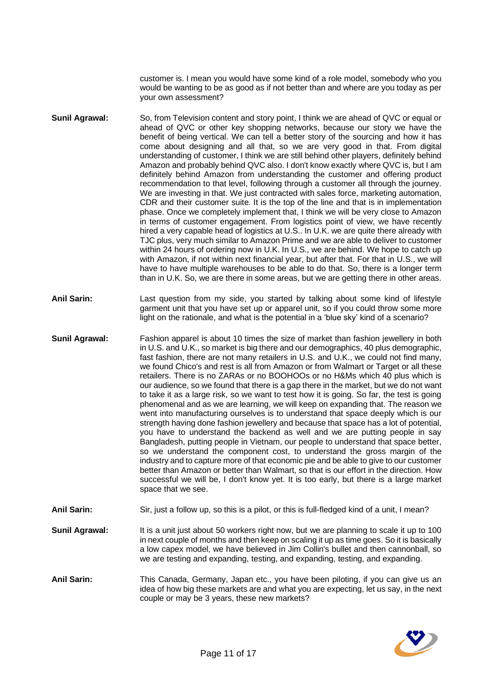customer is. I mean you would have some kind of a role model, somebody who you would be wanting to be as good as if not better than and where are you today as per your own assessment?

- **Sunil Agrawal:** So, from Television content and story point, I think we are ahead of QVC or equal or ahead of QVC or other key shopping networks, because our story we have the benefit of being vertical. We can tell a better story of the sourcing and how it has come about designing and all that, so we are very good in that. From digital understanding of customer, I think we are still behind other players, definitely behind Amazon and probably behind QVC also. I don't know exactly where QVC is, but I am definitely behind Amazon from understanding the customer and offering product recommendation to that level, following through a customer all through the journey. We are investing in that. We just contracted with sales force, marketing automation, CDR and their customer suite. It is the top of the line and that is in implementation phase. Once we completely implement that, I think we will be very close to Amazon in terms of customer engagement. From logistics point of view, we have recently hired a very capable head of logistics at U.S.. In U.K. we are quite there already with TJC plus, very much similar to Amazon Prime and we are able to deliver to customer within 24 hours of ordering now in U.K. In U.S., we are behind. We hope to catch up with Amazon, if not within next financial year, but after that. For that in U.S., we will have to have multiple warehouses to be able to do that. So, there is a longer term than in U.K. So, we are there in some areas, but we are getting there in other areas.
- **Anil Sarin:** Last question from my side, you started by talking about some kind of lifestyle garment unit that you have set up or apparel unit, so if you could throw some more light on the rationale, and what is the potential in a 'blue sky' kind of a scenario?
- **Sunil Agrawal:** Fashion apparel is about 10 times the size of market than fashion jewellery in both in U.S. and U.K., so market is big there and our demographics, 40 plus demographic, fast fashion, there are not many retailers in U.S. and U.K., we could not find many, we found Chico's and rest is all from Amazon or from Walmart or Target or all these retailers. There is no ZARAs or no BOOHOOs or no H&Ms which 40 plus which is our audience, so we found that there is a gap there in the market, but we do not want to take it as a large risk, so we want to test how it is going. So far, the test is going phenomenal and as we are learning, we will keep on expanding that. The reason we went into manufacturing ourselves is to understand that space deeply which is our strength having done fashion jewellery and because that space has a lot of potential, you have to understand the backend as well and we are putting people in say Bangladesh, putting people in Vietnam, our people to understand that space better, so we understand the component cost, to understand the gross margin of the industry and to capture more of that economic pie and be able to give to our customer better than Amazon or better than Walmart, so that is our effort in the direction. How successful we will be, I don't know yet. It is too early, but there is a large market space that we see.
- **Anil Sarin:** Sir, just a follow up, so this is a pilot, or this is full-fledged kind of a unit, I mean?
- **Sunil Agrawal:** It is a unit just about 50 workers right now, but we are planning to scale it up to 100 in next couple of months and then keep on scaling it up as time goes. So it is basically a low capex model, we have believed in Jim Collin's bullet and then cannonball, so we are testing and expanding, testing, and expanding, testing, and expanding.
- **Anil Sarin:** This Canada, Germany, Japan etc., you have been piloting, if you can give us an idea of how big these markets are and what you are expecting, let us say, in the next couple or may be 3 years, these new markets?

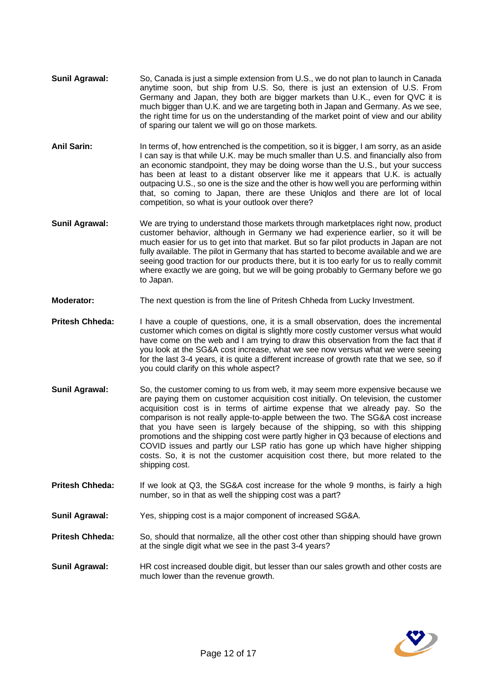- **Sunil Agrawal:** So, Canada is just a simple extension from U.S., we do not plan to launch in Canada anytime soon, but ship from U.S. So, there is just an extension of U.S. From Germany and Japan, they both are bigger markets than U.K., even for QVC it is much bigger than U.K. and we are targeting both in Japan and Germany. As we see, the right time for us on the understanding of the market point of view and our ability of sparing our talent we will go on those markets.
- **Anil Sarin:** In terms of, how entrenched is the competition, so it is bigger, I am sorry, as an aside I can say is that while U.K. may be much smaller than U.S. and financially also from an economic standpoint, they may be doing worse than the U.S., but your success has been at least to a distant observer like me it appears that U.K. is actually outpacing U.S., so one is the size and the other is how well you are performing within that, so coming to Japan, there are these Uniqlos and there are lot of local competition, so what is your outlook over there?
- **Sunil Agrawal:** We are trying to understand those markets through marketplaces right now, product customer behavior, although in Germany we had experience earlier, so it will be much easier for us to get into that market. But so far pilot products in Japan are not fully available. The pilot in Germany that has started to become available and we are seeing good traction for our products there, but it is too early for us to really commit where exactly we are going, but we will be going probably to Germany before we go to Japan.
- **Moderator:** The next question is from the line of Pritesh Chheda from Lucky Investment.
- **Pritesh Chheda:** I have a couple of questions, one, it is a small observation, does the incremental customer which comes on digital is slightly more costly customer versus what would have come on the web and I am trying to draw this observation from the fact that if you look at the SG&A cost increase, what we see now versus what we were seeing for the last 3-4 years, it is quite a different increase of growth rate that we see, so if you could clarify on this whole aspect?
- **Sunil Agrawal:** So, the customer coming to us from web, it may seem more expensive because we are paying them on customer acquisition cost initially. On television, the customer acquisition cost is in terms of airtime expense that we already pay. So the comparison is not really apple-to-apple between the two. The SG&A cost increase that you have seen is largely because of the shipping, so with this shipping promotions and the shipping cost were partly higher in Q3 because of elections and COVID issues and partly our LSP ratio has gone up which have higher shipping costs. So, it is not the customer acquisition cost there, but more related to the shipping cost.
- **Pritesh Chheda:** If we look at Q3, the SG&A cost increase for the whole 9 months, is fairly a high number, so in that as well the shipping cost was a part?
- **Sunil Agrawal:** Yes, shipping cost is a major component of increased SG&A.
- **Pritesh Chheda:** So, should that normalize, all the other cost other than shipping should have grown at the single digit what we see in the past 3-4 years?
- **Sunil Agrawal:** HR cost increased double digit, but lesser than our sales growth and other costs are much lower than the revenue growth.

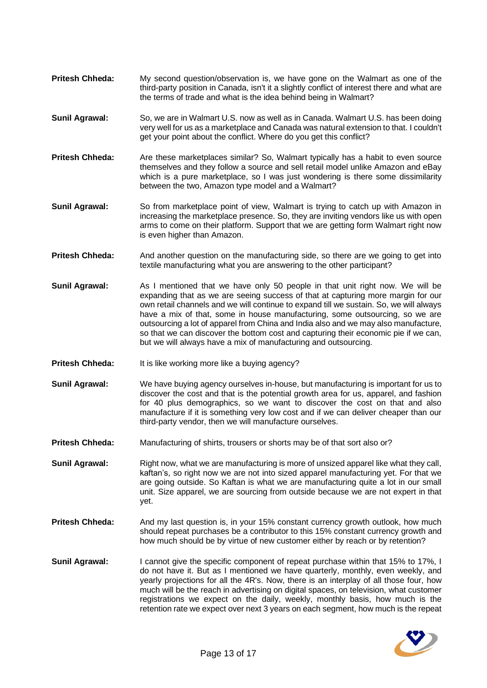- **Pritesh Chheda:** My second question/observation is, we have gone on the Walmart as one of the third-party position in Canada, isn't it a slightly conflict of interest there and what are the terms of trade and what is the idea behind being in Walmart?
- **Sunil Agrawal:** So, we are in Walmart U.S. now as well as in Canada. Walmart U.S. has been doing very well for us as a marketplace and Canada was natural extension to that. I couldn't get your point about the conflict. Where do you get this conflict?
- **Pritesh Chheda:** Are these marketplaces similar? So, Walmart typically has a habit to even source themselves and they follow a source and sell retail model unlike Amazon and eBay which is a pure marketplace, so I was just wondering is there some dissimilarity between the two, Amazon type model and a Walmart?
- **Sunil Agrawal:** So from marketplace point of view, Walmart is trying to catch up with Amazon in increasing the marketplace presence. So, they are inviting vendors like us with open arms to come on their platform. Support that we are getting form Walmart right now is even higher than Amazon.
- **Pritesh Chheda:** And another question on the manufacturing side, so there are we going to get into textile manufacturing what you are answering to the other participant?
- **Sunil Agrawal:** As I mentioned that we have only 50 people in that unit right now. We will be expanding that as we are seeing success of that at capturing more margin for our own retail channels and we will continue to expand till we sustain. So, we will always have a mix of that, some in house manufacturing, some outsourcing, so we are outsourcing a lot of apparel from China and India also and we may also manufacture, so that we can discover the bottom cost and capturing their economic pie if we can, but we will always have a mix of manufacturing and outsourcing.
- **Pritesh Chheda:** It is like working more like a buying agency?
- **Sunil Agrawal:** We have buying agency ourselves in-house, but manufacturing is important for us to discover the cost and that is the potential growth area for us, apparel, and fashion for 40 plus demographics, so we want to discover the cost on that and also manufacture if it is something very low cost and if we can deliver cheaper than our third-party vendor, then we will manufacture ourselves.
- **Pritesh Chheda:** Manufacturing of shirts, trousers or shorts may be of that sort also or?
- **Sunil Agrawal:** Right now, what we are manufacturing is more of unsized apparel like what they call, kaftan's, so right now we are not into sized apparel manufacturing yet. For that we are going outside. So Kaftan is what we are manufacturing quite a lot in our small unit. Size apparel, we are sourcing from outside because we are not expert in that yet.
- **Pritesh Chheda:** And my last question is, in your 15% constant currency growth outlook, how much should repeat purchases be a contributor to this 15% constant currency growth and how much should be by virtue of new customer either by reach or by retention?
- **Sunil Agrawal:** I cannot give the specific component of repeat purchase within that 15% to 17%, I do not have it. But as I mentioned we have quarterly, monthly, even weekly, and yearly projections for all the 4R's. Now, there is an interplay of all those four, how much will be the reach in advertising on digital spaces, on television, what customer registrations we expect on the daily, weekly, monthly basis, how much is the retention rate we expect over next 3 years on each segment, how much is the repeat

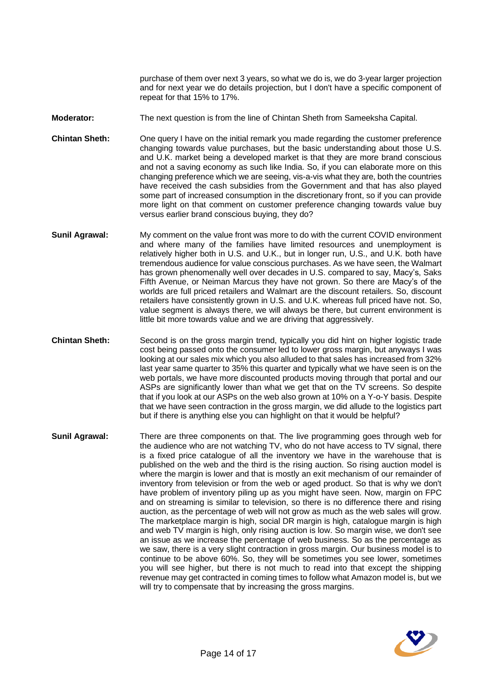purchase of them over next 3 years, so what we do is, we do 3-year larger projection and for next year we do details projection, but I don't have a specific component of repeat for that 15% to 17%.

- **Moderator:** The next question is from the line of Chintan Sheth from Sameeksha Capital.
- **Chintan Sheth:** One query I have on the initial remark you made regarding the customer preference changing towards value purchases, but the basic understanding about those U.S. and U.K. market being a developed market is that they are more brand conscious and not a saving economy as such like India. So, if you can elaborate more on this changing preference which we are seeing, vis-a-vis what they are, both the countries have received the cash subsidies from the Government and that has also played some part of increased consumption in the discretionary front, so if you can provide more light on that comment on customer preference changing towards value buy versus earlier brand conscious buying, they do?
- **Sunil Agrawal:** My comment on the value front was more to do with the current COVID environment and where many of the families have limited resources and unemployment is relatively higher both in U.S. and U.K., but in longer run, U.S., and U.K. both have tremendous audience for value conscious purchases. As we have seen, the Walmart has grown phenomenally well over decades in U.S. compared to say, Macy's, Saks Fifth Avenue, or Neiman Marcus they have not grown. So there are Macy's of the worlds are full priced retailers and Walmart are the discount retailers. So, discount retailers have consistently grown in U.S. and U.K. whereas full priced have not. So, value segment is always there, we will always be there, but current environment is little bit more towards value and we are driving that aggressively.
- **Chintan Sheth:** Second is on the gross margin trend, typically you did hint on higher logistic trade cost being passed onto the consumer led to lower gross margin, but anyways I was looking at our sales mix which you also alluded to that sales has increased from 32% last year same quarter to 35% this quarter and typically what we have seen is on the web portals, we have more discounted products moving through that portal and our ASPs are significantly lower than what we get that on the TV screens. So despite that if you look at our ASPs on the web also grown at 10% on a Y-o-Y basis. Despite that we have seen contraction in the gross margin, we did allude to the logistics part but if there is anything else you can highlight on that it would be helpful?
- **Sunil Agrawal:** There are three components on that. The live programming goes through web for the audience who are not watching TV, who do not have access to TV signal, there is a fixed price catalogue of all the inventory we have in the warehouse that is published on the web and the third is the rising auction. So rising auction model is where the margin is lower and that is mostly an exit mechanism of our remainder of inventory from television or from the web or aged product. So that is why we don't have problem of inventory piling up as you might have seen. Now, margin on FPC and on streaming is similar to television, so there is no difference there and rising auction, as the percentage of web will not grow as much as the web sales will grow. The marketplace margin is high, social DR margin is high, catalogue margin is high and web TV margin is high, only rising auction is low. So margin wise, we don't see an issue as we increase the percentage of web business. So as the percentage as we saw, there is a very slight contraction in gross margin. Our business model is to continue to be above 60%. So, they will be sometimes you see lower, sometimes you will see higher, but there is not much to read into that except the shipping revenue may get contracted in coming times to follow what Amazon model is, but we will try to compensate that by increasing the gross margins.

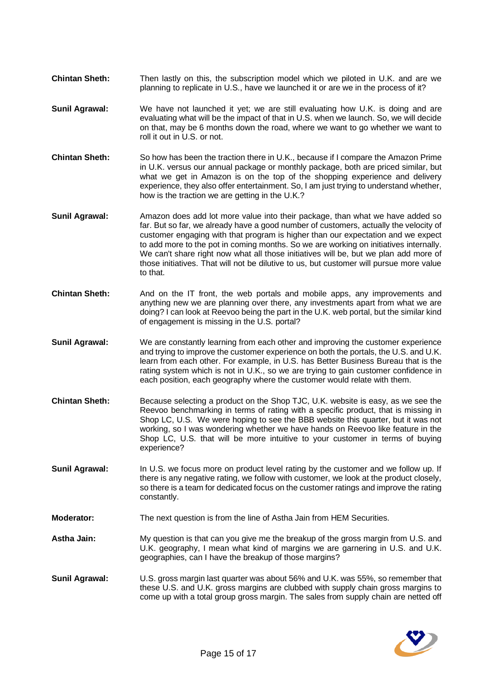- **Chintan Sheth:** Then lastly on this, the subscription model which we piloted in U.K. and are we planning to replicate in U.S., have we launched it or are we in the process of it?
- **Sunil Agrawal:** We have not launched it yet; we are still evaluating how U.K. is doing and are evaluating what will be the impact of that in U.S. when we launch. So, we will decide on that, may be 6 months down the road, where we want to go whether we want to roll it out in U.S. or not.
- **Chintan Sheth:** So how has been the traction there in U.K., because if I compare the Amazon Prime in U.K. versus our annual package or monthly package, both are priced similar, but what we get in Amazon is on the top of the shopping experience and delivery experience, they also offer entertainment. So, I am just trying to understand whether, how is the traction we are getting in the U.K.?
- **Sunil Agrawal:** Amazon does add lot more value into their package, than what we have added so far. But so far, we already have a good number of customers, actually the velocity of customer engaging with that program is higher than our expectation and we expect to add more to the pot in coming months. So we are working on initiatives internally. We can't share right now what all those initiatives will be, but we plan add more of those initiatives. That will not be dilutive to us, but customer will pursue more value to that.
- **Chintan Sheth:** And on the IT front, the web portals and mobile apps, any improvements and anything new we are planning over there, any investments apart from what we are doing? I can look at Reevoo being the part in the U.K. web portal, but the similar kind of engagement is missing in the U.S. portal?
- **Sunil Agrawal:** We are constantly learning from each other and improving the customer experience and trying to improve the customer experience on both the portals, the U.S. and U.K. learn from each other. For example, in U.S. has Better Business Bureau that is the rating system which is not in U.K., so we are trying to gain customer confidence in each position, each geography where the customer would relate with them.
- **Chintan Sheth:** Because selecting a product on the Shop TJC, U.K. website is easy, as we see the Reevoo benchmarking in terms of rating with a specific product, that is missing in Shop LC, U.S. We were hoping to see the BBB website this quarter, but it was not working, so I was wondering whether we have hands on Reevoo like feature in the Shop LC, U.S. that will be more intuitive to your customer in terms of buying experience?
- **Sunil Agrawal:** In U.S. we focus more on product level rating by the customer and we follow up. If there is any negative rating, we follow with customer, we look at the product closely, so there is a team for dedicated focus on the customer ratings and improve the rating constantly.
- **Moderator:** The next question is from the line of Astha Jain from HEM Securities.
- **Astha Jain:** My question is that can you give me the breakup of the gross margin from U.S. and U.K. geography, I mean what kind of margins we are garnering in U.S. and U.K. geographies, can I have the breakup of those margins?
- **Sunil Agrawal:** U.S. gross margin last quarter was about 56% and U.K. was 55%, so remember that these U.S. and U.K. gross margins are clubbed with supply chain gross margins to come up with a total group gross margin. The sales from supply chain are netted off

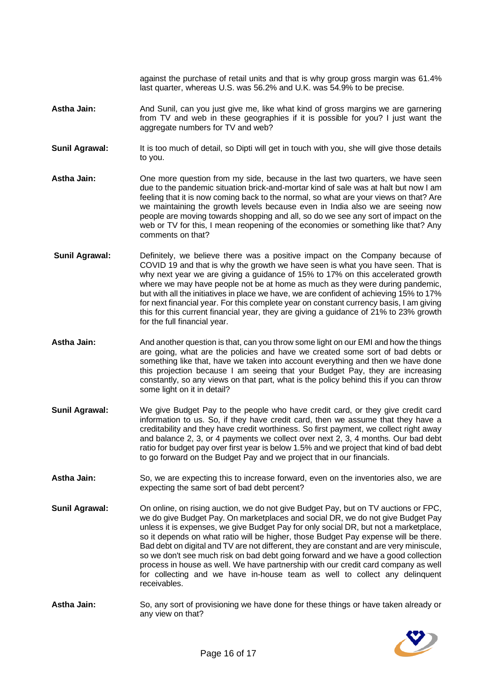against the purchase of retail units and that is why group gross margin was 61.4% last quarter, whereas U.S. was 56.2% and U.K. was 54.9% to be precise.

- **Astha Jain:** And Sunil, can you just give me, like what kind of gross margins we are garnering from TV and web in these geographies if it is possible for you? I just want the aggregate numbers for TV and web?
- **Sunil Agrawal:** It is too much of detail, so Dipti will get in touch with you, she will give those details to you.
- **Astha Jain:** One more question from my side, because in the last two quarters, we have seen due to the pandemic situation brick-and-mortar kind of sale was at halt but now I am feeling that it is now coming back to the normal, so what are your views on that? Are we maintaining the growth levels because even in India also we are seeing now people are moving towards shopping and all, so do we see any sort of impact on the web or TV for this, I mean reopening of the economies or something like that? Any comments on that?
- **Sunil Agrawal:** Definitely, we believe there was a positive impact on the Company because of COVID 19 and that is why the growth we have seen is what you have seen. That is why next year we are giving a guidance of 15% to 17% on this accelerated growth where we may have people not be at home as much as they were during pandemic, but with all the initiatives in place we have, we are confident of achieving 15% to 17% for next financial year. For this complete year on constant currency basis, I am giving this for this current financial year, they are giving a guidance of 21% to 23% growth for the full financial year.
- **Astha Jain:** And another question is that, can you throw some light on our EMI and how the things are going, what are the policies and have we created some sort of bad debts or something like that, have we taken into account everything and then we have done this projection because I am seeing that your Budget Pay, they are increasing constantly, so any views on that part, what is the policy behind this if you can throw some light on it in detail?
- **Sunil Agrawal:** We give Budget Pay to the people who have credit card, or they give credit card information to us. So, if they have credit card, then we assume that they have a creditability and they have credit worthiness. So first payment, we collect right away and balance 2, 3, or 4 payments we collect over next 2, 3, 4 months. Our bad debt ratio for budget pay over first year is below 1.5% and we project that kind of bad debt to go forward on the Budget Pay and we project that in our financials.
- Astha Jain: So, we are expecting this to increase forward, even on the inventories also, we are expecting the same sort of bad debt percent?
- **Sunil Agrawal:** On online, on rising auction, we do not give Budget Pay, but on TV auctions or FPC, we do give Budget Pay. On marketplaces and social DR, we do not give Budget Pay unless it is expenses, we give Budget Pay for only social DR, but not a marketplace, so it depends on what ratio will be higher, those Budget Pay expense will be there. Bad debt on digital and TV are not different, they are constant and are very miniscule, so we don't see much risk on bad debt going forward and we have a good collection process in house as well. We have partnership with our credit card company as well for collecting and we have in-house team as well to collect any delinquent receivables.
- **Astha Jain:** So, any sort of provisioning we have done for these things or have taken already or any view on that?